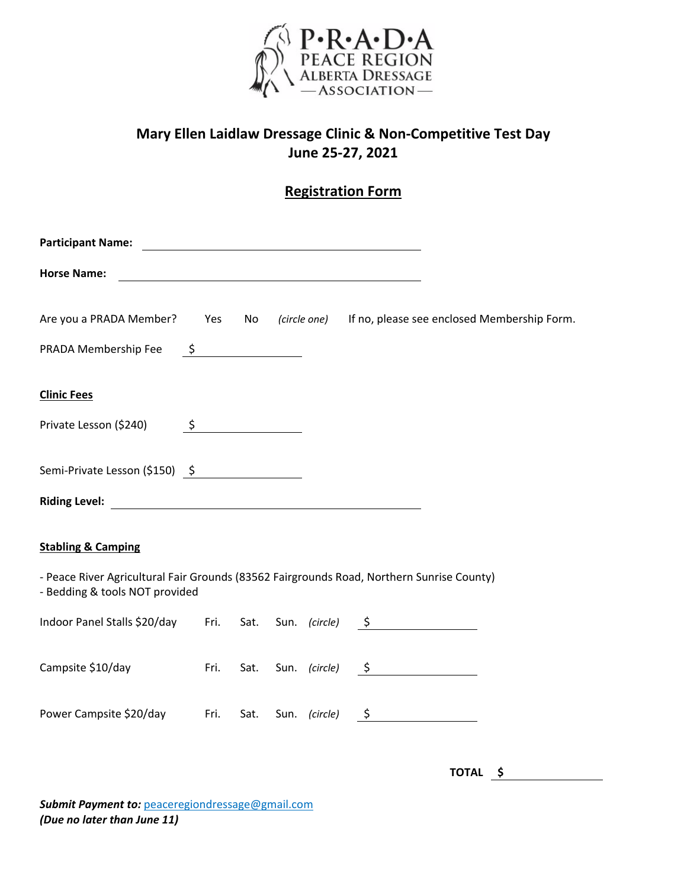

## **Mary Ellen Laidlaw Dressage Clinic & Non‐Competitive Test Day June 25‐27, 2021**

## **Registration Form**

| <b>Participant Name:</b>                                                                                                    |                                 |  |  |  | <u> 1980 - Johann Barn, mars ann an t-Amhain Aonaich an t-Aonaich an t-Aonaich ann an t-Aonaich ann an t-Aonaich</u> |                                                                                         |
|-----------------------------------------------------------------------------------------------------------------------------|---------------------------------|--|--|--|----------------------------------------------------------------------------------------------------------------------|-----------------------------------------------------------------------------------------|
| <b>Horse Name:</b>                                                                                                          |                                 |  |  |  |                                                                                                                      |                                                                                         |
|                                                                                                                             |                                 |  |  |  |                                                                                                                      | Are you a PRADA Member? Yes No (circle one) If no, please see enclosed Membership Form. |
| PRADA Membership Fee                                                                                                        | $\frac{\mathsf{S}}{\mathsf{S}}$ |  |  |  |                                                                                                                      |                                                                                         |
| <b>Clinic Fees</b><br>Private Lesson (\$240)                                                                                | $\frac{\zeta}{\zeta}$           |  |  |  |                                                                                                                      |                                                                                         |
| Semi-Private Lesson (\$150) $\frac{5}{2}$                                                                                   |                                 |  |  |  |                                                                                                                      |                                                                                         |
| <b>Stabling &amp; Camping</b>                                                                                               |                                 |  |  |  |                                                                                                                      |                                                                                         |
| - Peace River Agricultural Fair Grounds (83562 Fairgrounds Road, Northern Sunrise County)<br>- Bedding & tools NOT provided |                                 |  |  |  |                                                                                                                      |                                                                                         |
| Indoor Panel Stalls \$20/day Fri. Sat. Sun. (circle) \$                                                                     |                                 |  |  |  |                                                                                                                      |                                                                                         |
| Campsite \$10/day                                                                                                           | Fri.                            |  |  |  | Sat. Sun. (circle) $\frac{5}{2}$                                                                                     |                                                                                         |
| Power Campsite \$20/day Fri.                                                                                                |                                 |  |  |  | Sat. Sun. (circle) $\frac{5}{2}$                                                                                     |                                                                                         |

**TOTAL \$** 

*Submit Payment to:* peaceregiondressage@gmail.com *(Due no later than June 11)*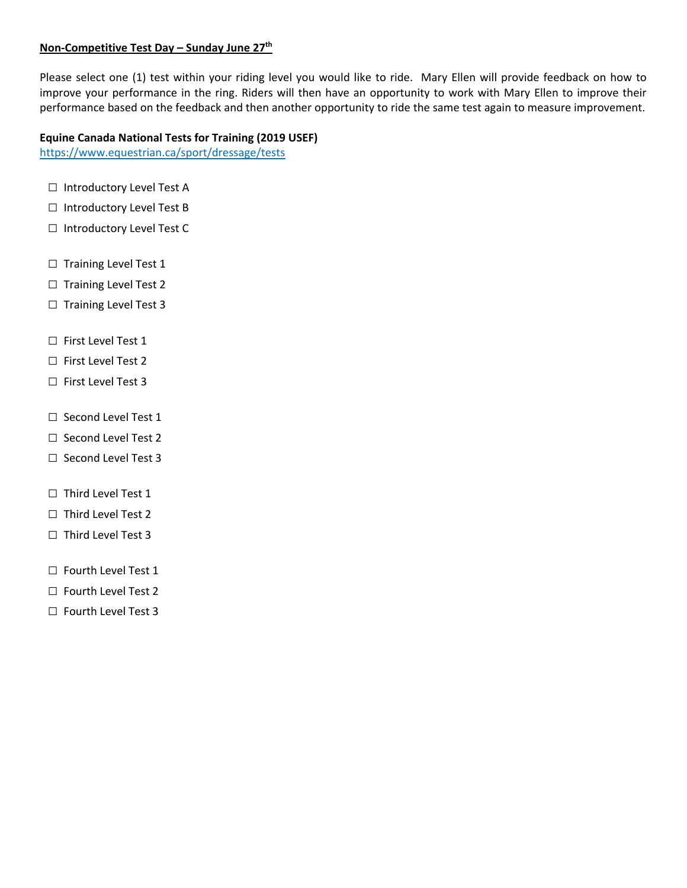### **Non‐Competitive Test Day – Sunday June 27th**

Please select one (1) test within your riding level you would like to ride. Mary Ellen will provide feedback on how to improve your performance in the ring. Riders will then have an opportunity to work with Mary Ellen to improve their performance based on the feedback and then another opportunity to ride the same test again to measure improvement.

#### **Equine Canada National Tests for Training (2019 USEF)**

https://www.equestrian.ca/sport/dressage/tests

- □ Introductory Level Test A
- □ Introductory Level Test B
- □ Introductory Level Test C
- □ Training Level Test 1
- □ Training Level Test 2
- $\Box$  Training Level Test 3
- □ First Level Test 1
- □ First Level Test 2
- □ First Level Test 3
- □ Second Level Test 1
- □ Second Level Test 2
- □ Second Level Test 3
- □ Third Level Test 1
- □ Third Level Test 2
- □ Third Level Test 3
- □ Fourth Level Test 1
- □ Fourth Level Test 2
- □ Fourth Level Test 3